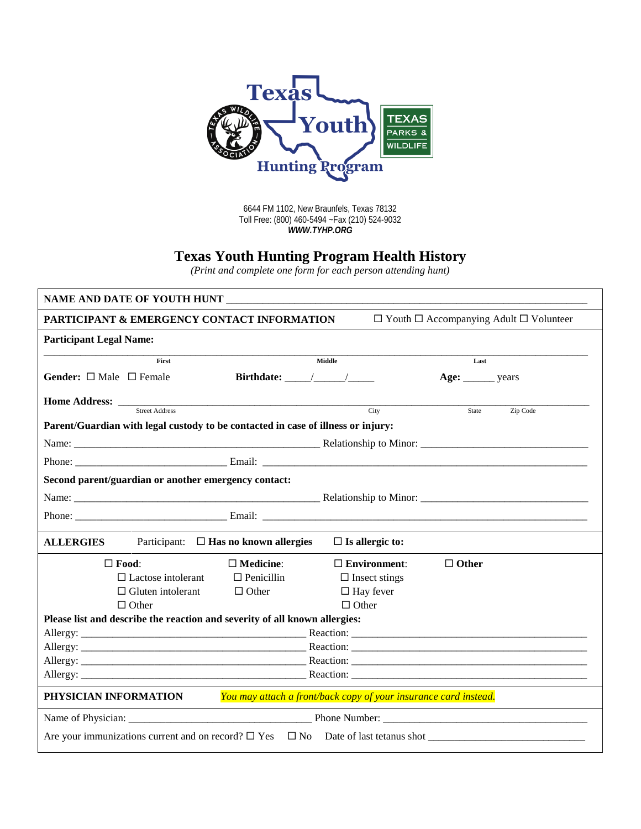

6644 FM 1102, New Braunfels, Texas 78132 Toll Free: (800) 460-5494 ~Fax (210) 524-9032 *WWW.TYHP.ORG*

## **Texas Youth Hunting Program Health History**

*(Print and complete one form for each person attending hunt)*

| NAME AND DATE OF YOUTH HUNT                                                               |                                                                                                                   |                      |                     |  |  |  |  |
|-------------------------------------------------------------------------------------------|-------------------------------------------------------------------------------------------------------------------|----------------------|---------------------|--|--|--|--|
|                                                                                           | <b>PARTICIPANT &amp; EMERGENCY CONTACT INFORMATION</b><br>$\Box$ Youth $\Box$ Accompanying Adult $\Box$ Volunteer |                      |                     |  |  |  |  |
| <b>Participant Legal Name:</b>                                                            |                                                                                                                   |                      |                     |  |  |  |  |
| First                                                                                     |                                                                                                                   | Middle               | Last                |  |  |  |  |
| <b>Gender:</b> $\Box$ Male $\Box$ Female                                                  |                                                                                                                   |                      | Age: ________ years |  |  |  |  |
| Street Address                                                                            |                                                                                                                   | City                 | Zip Code<br>State   |  |  |  |  |
|                                                                                           |                                                                                                                   |                      |                     |  |  |  |  |
| Parent/Guardian with legal custody to be contacted in case of illness or injury:          |                                                                                                                   |                      |                     |  |  |  |  |
|                                                                                           | Phone: Email: Email: Email:                                                                                       |                      |                     |  |  |  |  |
| Second parent/guardian or another emergency contact:                                      |                                                                                                                   |                      |                     |  |  |  |  |
|                                                                                           |                                                                                                                   |                      |                     |  |  |  |  |
|                                                                                           |                                                                                                                   |                      |                     |  |  |  |  |
| Participant: $\Box$ Has no known allergies<br><b>ALLERGIES</b><br>$\Box$ Is allergic to:  |                                                                                                                   |                      |                     |  |  |  |  |
| $\Box$ Food:                                                                              | $\Box$ Medicine:                                                                                                  | $\Box$ Environment:  | $\Box$ Other        |  |  |  |  |
| $\Box$ Lactose intolerant                                                                 | $\Box$ Penicillin                                                                                                 | $\Box$ Insect stings |                     |  |  |  |  |
| $\Box$ Gluten intolerant                                                                  | $\Box$ Other                                                                                                      | $\Box$ Hay fever     |                     |  |  |  |  |
| $\Box$ Other                                                                              |                                                                                                                   | $\Box$ Other         |                     |  |  |  |  |
| Please list and describe the reaction and severity of all known allergies:                |                                                                                                                   |                      |                     |  |  |  |  |
|                                                                                           |                                                                                                                   |                      |                     |  |  |  |  |
|                                                                                           |                                                                                                                   |                      |                     |  |  |  |  |
|                                                                                           |                                                                                                                   |                      |                     |  |  |  |  |
|                                                                                           |                                                                                                                   |                      |                     |  |  |  |  |
| You may attach a front/back copy of your insurance card instead.<br>PHYSICIAN INFORMATION |                                                                                                                   |                      |                     |  |  |  |  |
| Name of Physician: Phone Number: Phone Number:                                            |                                                                                                                   |                      |                     |  |  |  |  |
|                                                                                           |                                                                                                                   |                      |                     |  |  |  |  |